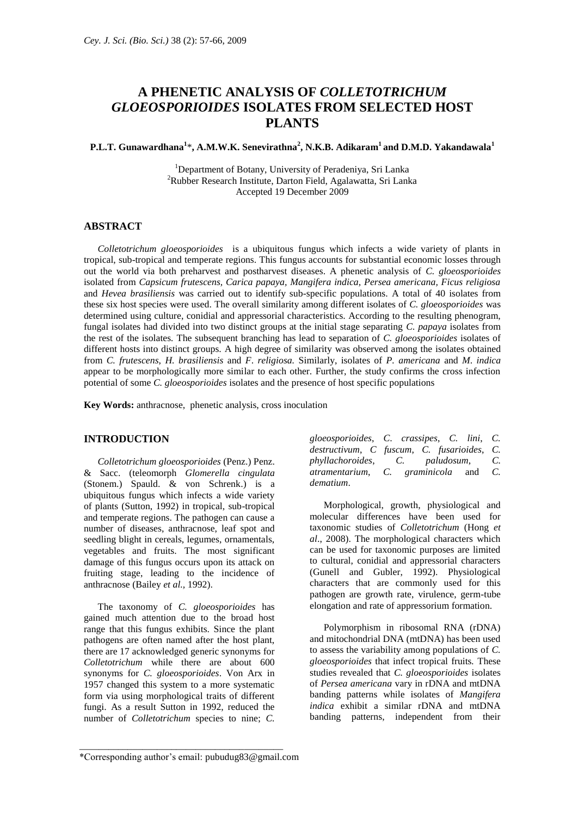# **A PHENETIC ANALYSIS OF** *COLLETOTRICHUM GLOEOSPORIOIDES* **ISOLATES FROM SELECTED HOST PLANTS**

### **P.L.T. Gunawardhana<sup>1</sup>** \***, A.M.W.K. Senevirathna<sup>2</sup> , N.K.B. Adikaram<sup>1</sup>and D.M.D. Yakandawala<sup>1</sup>**

<sup>1</sup>Department of Botany, University of Peradeniya, Sri Lanka <sup>2</sup>Rubber Research Institute, Darton Field, Agalawatta, Sri Lanka Accepted 19 December 2009

#### **ABSTRACT**

*Colletotrichum gloeosporioides* is a ubiquitous fungus which infects a wide variety of plants in tropical, sub-tropical and temperate regions. This fungus accounts for substantial economic losses through out the world via both preharvest and postharvest diseases. A phenetic analysis of *C. gloeosporioides*  isolated from *Capsicum frutescens, Carica papaya, Mangifera indica, Persea americana, Ficus religiosa*  and *Hevea brasiliensis* was carried out to identify sub-specific populations. A total of 40 isolates from these six host species were used. The overall similarity among different isolates of *C. gloeosporioides* was determined using culture, conidial and appressorial characteristics. According to the resulting phenogram, fungal isolates had divided into two distinct groups at the initial stage separating *C. papaya* isolates from the rest of the isolates*.* The subsequent branching has lead to separation of *C. gloeosporioides* isolates of different hosts into distinct groups. A high degree of similarity was observed among the isolates obtained from *C. frutescens*, *H. brasiliensis* and *F*. *religiosa.* Similarly, isolates of *P. americana* and *M*. *indica* appear to be morphologically more similar to each other. Further, the study confirms the cross infection potential of some *C. gloeosporioides* isolates and the presence of host specific populations

**Key Words:** anthracnose, phenetic analysis, cross inoculation

## **INTRODUCTION**

*Colletotrichum gloeosporioides* (Penz.) Penz. & Sacc. (teleomorph *Glomerella cingulata*  (Stonem.) Spauld. & von Schrenk.) is a ubiquitous fungus which infects a wide variety of plants (Sutton, 1992) in tropical, sub-tropical and temperate regions. The pathogen can cause a number of diseases, anthracnose, leaf spot and seedling blight in cereals, legumes, ornamentals, vegetables and fruits. The most significant damage of this fungus occurs upon its attack on fruiting stage, leading to the incidence of anthracnose (Bailey *et al.,* 1992).

The taxonomy of *C. gloeosporioides* has gained much attention due to the broad host range that this fungus exhibits. Since the plant pathogens are often named after the host plant, there are 17 acknowledged generic synonyms for *Colletotrichum* while there are about 600 synonyms for *C. gloeosporioides*. Von Arx in 1957 changed this system to a more systematic form via using morphological traits of different fungi. As a result Sutton in 1992, reduced the number of *Colletotrichum* species to nine; *C.* 

| gloeosporioides, C. crassipes, C. lini, C. |  |  |  |
|--------------------------------------------|--|--|--|
| destructivum, C fuscum, C. fusarioides, C. |  |  |  |
| phyllachoroides, C. paludosum, C.          |  |  |  |
| atramentarium, C. graminicola and C.       |  |  |  |
| dematium.                                  |  |  |  |

Morphological, growth, physiological and molecular differences have been used for taxonomic studies of *Colletotrichum* (Hong *et al*., 2008). The morphological characters which can be used for taxonomic purposes are limited to cultural, conidial and appressorial characters (Gunell and Gubler, 1992). Physiological characters that are commonly used for this pathogen are growth rate, virulence, germ-tube elongation and rate of appressorium formation.

Polymorphism in ribosomal RNA (rDNA) and mitochondrial DNA (mtDNA) has been used to assess the variability among populations of *C. gloeosporioides* that infect tropical fruits*.* These studies revealed that *C. gloeosporioides* isolates of *Persea americana* vary in rDNA and mtDNA banding patterns while isolates of *Mangifera indica* exhibit a similar rDNA and mtDNA banding patterns, independent from their

\_\_\_\_\_\_\_\_\_\_\_\_\_\_\_\_\_\_\_\_\_\_\_\_\_\_\_\_\_\_\_\_\_\_\_\_\_\_\_\_\_\_

<sup>\*</sup>Corresponding author's email: pubudug83@gmail.com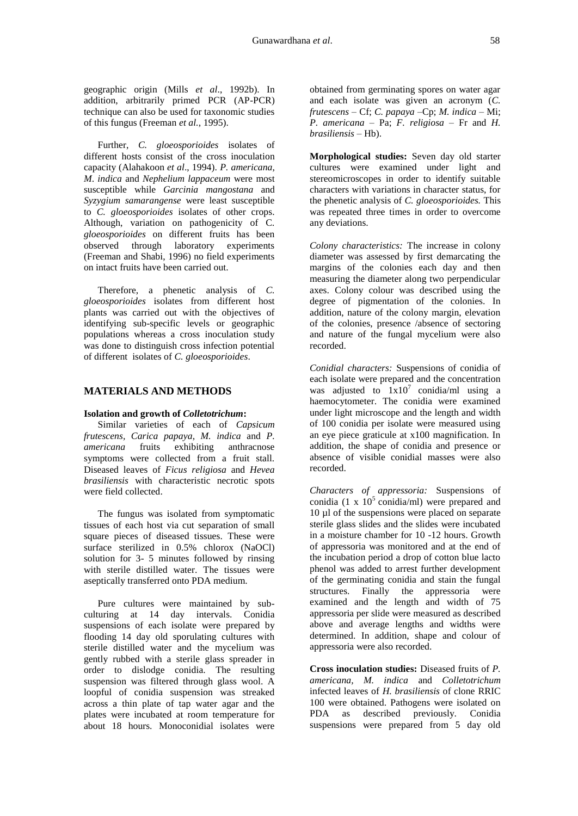geographic origin (Mills *et al*., 1992b). In addition, arbitrarily primed PCR (AP-PCR) technique can also be used for taxonomic studies of this fungus (Freeman *et al.*, 1995).

Further, *C. gloeosporioides* isolates of different hosts consist of the cross inoculation capacity (Alahakoon *et al*., 1994). *P. americana*, *M*. *indica* and *Nephelium lappaceum* were most susceptible while *Garcinia mangostana* and *Syzygium samarangense* were least susceptible to *C. gloeosporioides* isolates of other crops. Although, variation on pathogenicity of C*. gloeosporioides* on different fruits has been observed through laboratory experiments (Freeman and Shabi, 1996) no field experiments on intact fruits have been carried out.

Therefore, a phenetic analysis of *C. gloeosporioides* isolates from different host plants was carried out with the objectives of identifying sub-specific levels or geographic populations whereas a cross inoculation study was done to distinguish cross infection potential of different isolates of *C. gloeosporioides*.

## **MATERIALS AND METHODS**

#### **Isolation and growth of** *Colletotrichum***:**

Similar varieties of each of *Capsicum frutescens, Carica papaya*, *M. indica* and *P. americana* fruits exhibiting anthracnose symptoms were collected from a fruit stall. Diseased leaves of *Ficus religiosa* and *Hevea brasiliensis* with characteristic necrotic spots were field collected.

The fungus was isolated from symptomatic tissues of each host via cut separation of small square pieces of diseased tissues. These were surface sterilized in 0.5% chlorox (NaOCl) solution for 3- 5 minutes followed by rinsing with sterile distilled water. The tissues were aseptically transferred onto PDA medium.

Pure cultures were maintained by subculturing at 14 day intervals. Conidia suspensions of each isolate were prepared by flooding 14 day old sporulating cultures with sterile distilled water and the mycelium was gently rubbed with a sterile glass spreader in order to dislodge conidia. The resulting suspension was filtered through glass wool. A loopful of conidia suspension was streaked across a thin plate of tap water agar and the plates were incubated at room temperature for about 18 hours. Monoconidial isolates were

obtained from germinating spores on water agar and each isolate was given an acronym (*C. frutescens* – Cf; *C. papaya –*Cp; *M. indica –* Mi; *P. americana –* Pa; *F. religiosa –* Fr and *H. brasiliensis –* Hb).

**Morphological studies:** Seven day old starter cultures were examined under light and stereomicroscopes in order to identify suitable characters with variations in character status, for the phenetic analysis of *C. gloeosporioides.* This was repeated three times in order to overcome any deviations.

*Colony characteristics:* The increase in colony diameter was assessed by first demarcating the margins of the colonies each day and then measuring the diameter along two perpendicular axes. Colony colour was described using the degree of pigmentation of the colonies. In addition, nature of the colony margin, elevation of the colonies, presence /absence of sectoring and nature of the fungal mycelium were also recorded.

*Conidial characters:* Suspensions of conidia of each isolate were prepared and the concentration was adjusted to  $1x10^7$  conidia/ml using a haemocytometer. The conidia were examined under light microscope and the length and width of 100 conidia per isolate were measured using an eye piece graticule at x100 magnification. In addition, the shape of conidia and presence or absence of visible conidial masses were also recorded.

*Characters of appressoria:* Suspensions of conidia (1 x  $10<sup>5</sup>$  conidia/ml) were prepared and 10 µl of the suspensions were placed on separate sterile glass slides and the slides were incubated in a moisture chamber for 10 -12 hours. Growth of appressoria was monitored and at the end of the incubation period a drop of cotton blue lacto phenol was added to arrest further development of the germinating conidia and stain the fungal structures. Finally the appressoria were examined and the length and width of 75 appressoria per slide were measured as described above and average lengths and widths were determined. In addition, shape and colour of appressoria were also recorded.

**Cross inoculation studies:** Diseased fruits of *P. americana, M. indica* and *Colletotrichum* infected leaves of *H. brasiliensis* of clone RRIC 100 were obtained. Pathogens were isolated on PDA as described previously. Conidia suspensions were prepared from 5 day old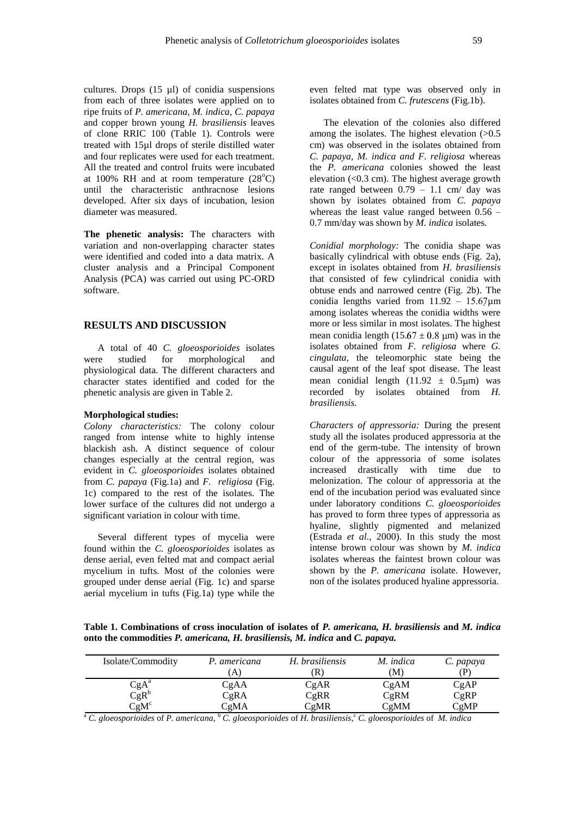cultures. Drops (15 µl) of conidia suspensions from each of three isolates were applied on to ripe fruits of *P. americana, M. indica, C. papaya*  and copper brown young *H. brasiliensis* leaves of clone RRIC 100 (Table 1). Controls were treated with 15µl drops of sterile distilled water and four replicates were used for each treatment. All the treated and control fruits were incubated at  $100\%$  RH and at room temperature  $(28^{\circ}C)$ until the characteristic anthracnose lesions developed. After six days of incubation, lesion diameter was measured.

**The phenetic analysis:** The characters with variation and non-overlapping character states were identified and coded into a data matrix. A cluster analysis and a Principal Component Analysis (PCA) was carried out using PC-ORD software.

#### **RESULTS AND DISCUSSION**

A total of 40 *C. gloeosporioides* isolates were studied for morphological and physiological data. The different characters and character states identified and coded for the phenetic analysis are given in Table 2.

#### **Morphological studies:**

*Colony characteristics:* The colony colour ranged from intense white to highly intense blackish ash. A distinct sequence of colour changes especially at the central region, was evident in *C. gloeosporioides* isolates obtained from *C. papaya* (Fig.1a) and *F. religiosa* (Fig. 1c) compared to the rest of the isolates. The lower surface of the cultures did not undergo a significant variation in colour with time.

Several different types of mycelia were found within the *C. gloeosporioides* isolates as dense aerial, even felted mat and compact aerial mycelium in tufts. Most of the colonies were grouped under dense aerial (Fig. 1c) and sparse aerial mycelium in tufts (Fig.1a) type while the

even felted mat type was observed only in isolates obtained from *C. frutescens* (Fig.1b).

The elevation of the colonies also differed among the isolates. The highest elevation  $(>0.5)$ cm) was observed in the isolates obtained from *C. papaya, M. indica and F. religiosa* whereas the *P. americana* colonies showed the least elevation (<0.3 cm). The highest average growth rate ranged between 0.79 – 1.1 cm/ day was shown by isolates obtained from *C. papaya* whereas the least value ranged between 0.56 – 0.7 mm/day was shown by *M. indica* isolates.

*Conidial morphology:* The conidia shape was basically cylindrical with obtuse ends (Fig. 2a), except in isolates obtained from *H. brasiliensis* that consisted of few cylindrical conidia with obtuse ends and narrowed centre (Fig. 2b). The conidia lengths varied from  $11.92 - 15.67 \mu m$ among isolates whereas the conidia widths were more or less similar in most isolates. The highest mean conidia length  $(15.67 \pm 0.8 \text{ µm})$  was in the isolates obtained from *F. religiosa* where *G. cingulata,* the teleomorphic state being the causal agent of the leaf spot disease*.* The least mean conidial length  $(11.92 \pm 0.5 \text{µm})$  was recorded by isolates obtained from *H. brasiliensis.* 

*Characters of appressoria:* During the present study all the isolates produced appressoria at the end of the germ-tube. The intensity of brown colour of the appressoria of some isolates increased drastically with time due to melonization. The colour of appressoria at the end of the incubation period was evaluated since under laboratory conditions *C. gloeosporioides*  has proved to form three types of appressoria as hyaline, slightly pigmented and melanized (Estrada *et al.,* 2000). In this study the most intense brown colour was shown by *M. indica*  isolates whereas the faintest brown colour was shown by the *P. americana* isolate. However, non of the isolates produced hyaline appressoria.

**Table 1. Combinations of cross inoculation of isolates of** *P. americana, H. brasiliensis* **and** *M. indica* **onto the commodities** *P. americana, H. brasiliensis, M. indica* **and** *C. papaya.*

| Isolate/Commodity                           | P. americana | H. brasiliensis | M. indica | C. papaya |
|---------------------------------------------|--------------|-----------------|-----------|-----------|
|                                             | A            | R)              | M)        | D)        |
| $CgA^a$                                     | CgAA         | CgAR            | CgAM      | CgAP      |
| $CgR^b$                                     | CgRA         | CgRR            | CgRM      | CgRP      |
| $\mathbb{C}\mathsf{g}\mathsf{M}^\mathsf{c}$ | CgMA         | CgMR            | CgMM      | CgMP      |

<sup>a</sup> C. gloeosporioides of P. americana, <sup>b</sup> C. gloeosporioides of H. brasiliensis, <sup>c</sup> C. gloeosporioides of M. indica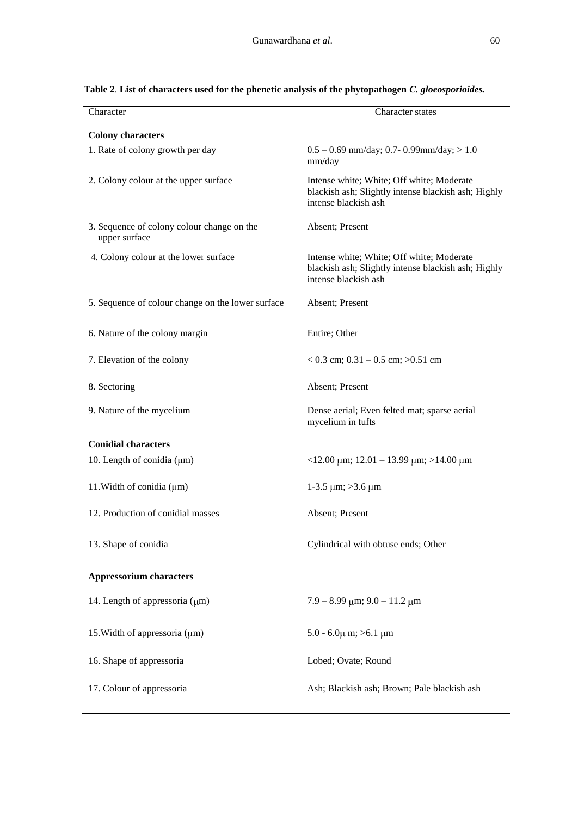| Character                                                   | <b>Character states</b>                                                                                                  |  |
|-------------------------------------------------------------|--------------------------------------------------------------------------------------------------------------------------|--|
| <b>Colony characters</b>                                    |                                                                                                                          |  |
| 1. Rate of colony growth per day                            | $0.5 - 0.69$ mm/day; 0.7- 0.99mm/day; > 1.0<br>mm/day                                                                    |  |
| 2. Colony colour at the upper surface                       | Intense white; White; Off white; Moderate<br>blackish ash; Slightly intense blackish ash; Highly<br>intense blackish ash |  |
| 3. Sequence of colony colour change on the<br>upper surface | Absent; Present                                                                                                          |  |
| 4. Colony colour at the lower surface                       | Intense white; White; Off white; Moderate<br>blackish ash; Slightly intense blackish ash; Highly<br>intense blackish ash |  |
| 5. Sequence of colour change on the lower surface           | Absent; Present                                                                                                          |  |
| 6. Nature of the colony margin                              | Entire; Other                                                                                                            |  |
| 7. Elevation of the colony                                  | $< 0.3$ cm; 0.31 - 0.5 cm; $>0.51$ cm                                                                                    |  |
| 8. Sectoring                                                | Absent; Present                                                                                                          |  |
| 9. Nature of the mycelium                                   | Dense aerial; Even felted mat; sparse aerial<br>mycelium in tufts                                                        |  |
| <b>Conidial characters</b>                                  |                                                                                                                          |  |
| 10. Length of conidia $(\mu m)$                             | $\langle 12.00 \text{ }\mu\text{m}; 12.01 - 13.99 \text{ }\mu\text{m}; \rangle 14.00 \text{ }\mu\text{m}$                |  |
| 11. Width of conidia $(\mu m)$                              | 1-3.5 $\mu$ m; >3.6 $\mu$ m                                                                                              |  |
| 12. Production of conidial masses                           | Absent; Present                                                                                                          |  |
| 13. Shape of conidia                                        | Cylindrical with obtuse ends; Other                                                                                      |  |
| <b>Appressorium characters</b>                              |                                                                                                                          |  |
| 14. Length of appressoria (µm)                              | $7.9 - 8.99 \mu m$ ; $9.0 - 11.2 \mu m$                                                                                  |  |
| 15. Width of appressoria $(\mu m)$                          | $5.0 - 6.0\mu$ m; $> 6.1 \mu$ m                                                                                          |  |
| 16. Shape of appressoria                                    | Lobed; Ovate; Round                                                                                                      |  |
| 17. Colour of appressoria                                   | Ash; Blackish ash; Brown; Pale blackish ash                                                                              |  |

## **Table 2**. **List of characters used for the phenetic analysis of the phytopathogen** *C. gloeosporioides.*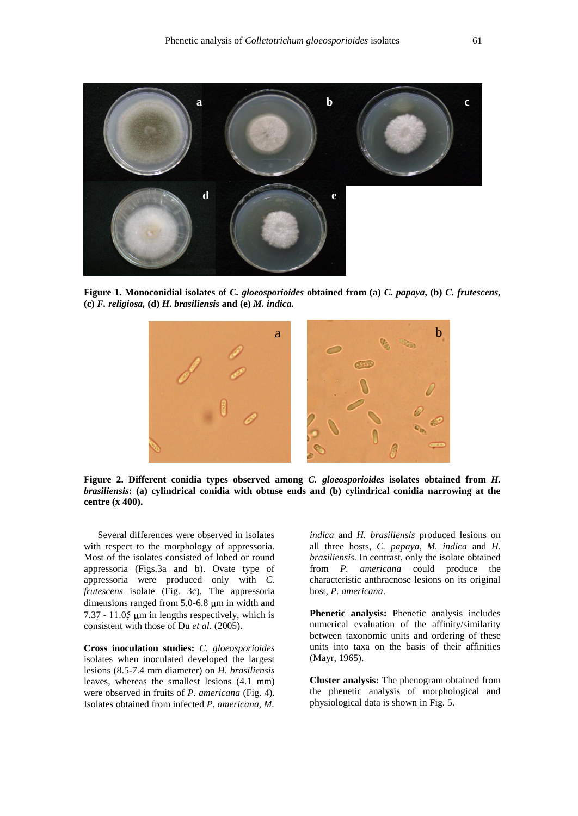

**Figure 1. Monoconidial isolates of** *C. gloeosporioides* **obtained from (a)** *C. papaya***, (b)** *C. frutescens***, (c)** *F. religiosa,* **(d)** *H. brasiliensis* **and (e)** *M. indica.* 



**Figure 2. Different conidia types observed among** *C. gloeosporioides* **isolates obtained from** *H. brasiliensis***: (a) cylindrical conidia with obtuse ends and (b) cylindrical conidia narrowing at the centre (x 400).**

Several differences were observed in isolates with respect to the morphology of appressoria. Most of the isolates consisted of lobed or round appressoria (Figs.3a and b). Ovate type of appressoria were produced only with *C. frutescens* isolate (Fig. 3c)*.* The appressoria dimensions ranged from  $5.0 - 6.8 \mu m$  in width and  $7.37 - 11.05 \mu m$  in lengths respectively, which is consistent with those of Du *et al*. (2005).

**Cross inoculation studies:** *C. gloeosporioides* isolates when inoculated developed the largest lesions (8.5-7.4 mm diameter) on *H. brasiliensis* leaves, whereas the smallest lesions (4.1 mm) were observed in fruits of *P. americana* (Fig. 4)*.*  Isolates obtained from infected *P. americana*, *M.*

*indica* and *H. brasiliensis* produced lesions on all three hosts, *C. papaya*, *M. indica* and *H. brasiliensis.* In contrast, only the isolate obtained from *P. americana* could produce the characteristic anthracnose lesions on its original host, *P. americana*.

**Phenetic analysis:** Phenetic analysis includes numerical evaluation of the affinity/similarity between taxonomic units and ordering of these units into taxa on the basis of their affinities (Mayr, 1965).

**Cluster analysis:** The phenogram obtained from the phenetic analysis of morphological and physiological data is shown in Fig. 5.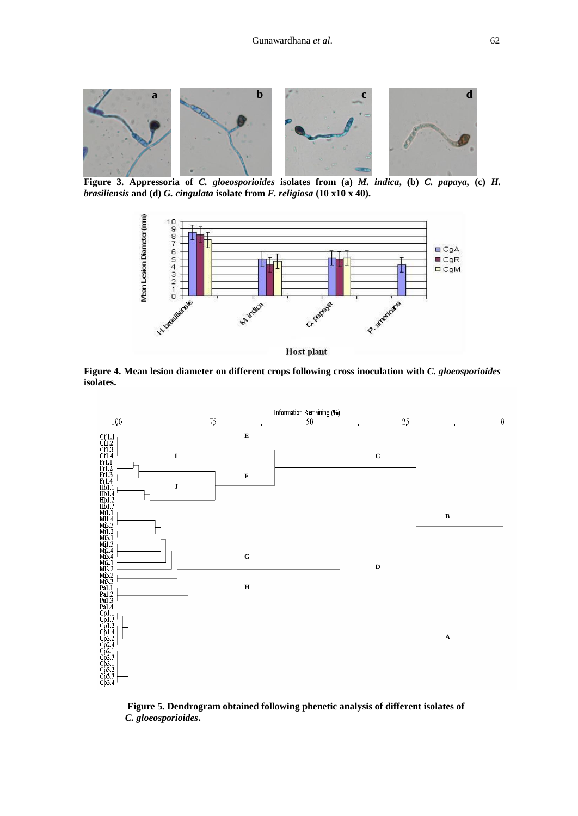

**Figure 3. Appressoria of** *C. gloeosporioides* **isolates from (a)** *M. indica***, (b)** *C. papaya,* **(c)** *H. brasiliensis* **and (d)** *G. cingulata* **isolate from** *F. religiosa* **(10 x10 x 40).**



**Figure 4. Mean lesion diameter on different crops following cross inoculation with** *C. gloeosporioides* **isolates.**



 **Figure 5. Dendrogram obtained following phenetic analysis of different isolates of**   *C. gloeosporioides***.**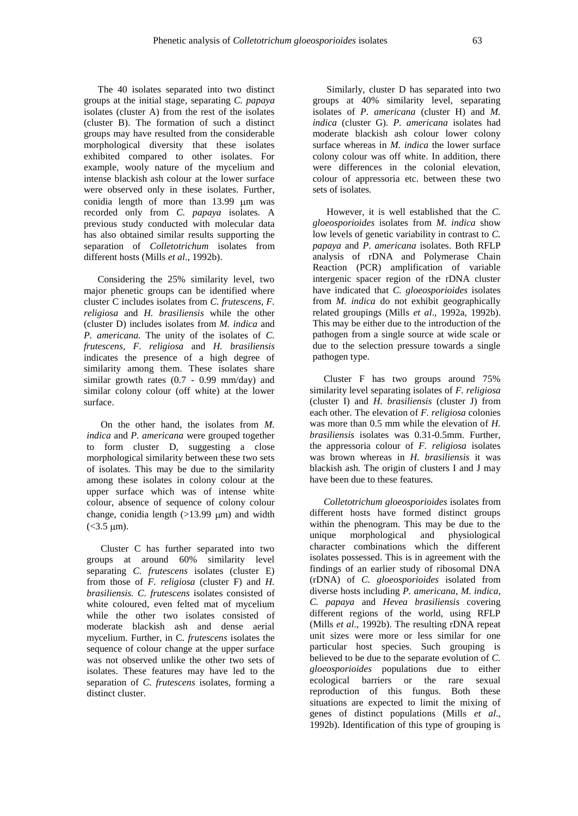The 40 isolates separated into two distinct groups at the initial stage, separating *C. papaya*  isolates (cluster A) from the rest of the isolates (cluster B). The formation of such a distinct groups may have resulted from the considerable morphological diversity that these isolates exhibited compared to other isolates. For example, wooly nature of the mycelium and intense blackish ash colour at the lower surface were observed only in these isolates. Further, conidia length of more than  $13.99 \text{ \mu m}$  was recorded only from *C. papaya* isolates*.* A previous study conducted with molecular data has also obtained similar results supporting the separation of *Colletotrichum* isolates from different hosts (Mills *et al*., 1992b).

Considering the 25% similarity level, two major phenetic groups can be identified where cluster C includes isolates from *C. frutescens, F. religiosa* and *H. brasiliensis* while the other (cluster D) includes isolates from *M. indica* and *P. americana.* The unity of the isolates of *C. frutescens, F. religiosa* and *H. brasiliensis* indicates the presence of a high degree of similarity among them. These isolates share similar growth rates (0.7 - 0.99 mm/day) and similar colony colour (off white) at the lower surface.

On the other hand, the isolates from *M. indica* and *P. americana* were grouped together to form cluster D, suggesting a close morphological similarity between these two sets of isolates. This may be due to the similarity among these isolates in colony colour at the upper surface which was of intense white colour, absence of sequence of colony colour change, conidia length  $(>13.99 \mu m)$  and width  $(<3.5 \text{ µm}).$ 

Cluster C has further separated into two groups at around 60% similarity level separating *C. frutescens* isolates (cluster E) from those of *F. religiosa* (cluster F) and *H. brasiliensis. C. frutescens* isolates consisted of white coloured, even felted mat of mycelium while the other two isolates consisted of moderate blackish ash and dense aerial mycelium. Further, in C*. frutescens* isolates the sequence of colour change at the upper surface was not observed unlike the other two sets of isolates. These features may have led to the separation of *C. frutescens* isolates, forming a distinct cluster.

Similarly, cluster D has separated into two groups at 40% similarity level, separating isolates of *P. americana* (cluster H) and *M. indica* (cluster G)*. P. americana* isolates had moderate blackish ash colour lower colony surface whereas in *M. indica* the lower surface colony colour was off white. In addition, there were differences in the colonial elevation, colour of appressoria etc. between these two sets of isolates.

However, it is well established that the *C. gloeosporioides* isolates from *M. indica* show low levels of genetic variability in contrast to *C. papaya* and *P*. *americana* isolates. Both RFLP analysis of rDNA and Polymerase Chain Reaction (PCR) amplification of variable intergenic spacer region of the rDNA cluster have indicated that *C. gloeosporioides* isolates from *M. indica* do not exhibit geographically related groupings (Mills *et al*., 1992a, 1992b). This may be either due to the introduction of the pathogen from a single source at wide scale or due to the selection pressure towards a single pathogen type.

Cluster F has two groups around 75% similarity level separating isolates of *F. religiosa*  (cluster I) and *H. brasiliensis* (cluster J) from each other*.* The elevation of *F. religiosa* colonies was more than 0.5 mm while the elevation of *H. brasiliensis* isolates was 0.31-0.5mm. Further, the appressoria colour of *F. religiosa* isolates was brown whereas in *H. brasiliensis* it was blackish ash*.* The origin of clusters I and J may have been due to these features.

*Colletotrichum gloeosporioides* isolates from different hosts have formed distinct groups within the phenogram. This may be due to the unique morphological and physiological character combinations which the different isolates possessed. This is in agreement with the findings of an earlier study of ribosomal DNA (rDNA) of *C. gloeosporioides* isolated from diverse hosts including *P. americana*, *M. indica*, *C. papaya* and *Hevea brasiliensis* covering different regions of the world, using RFLP (Mills *et al*., 1992b). The resulting rDNA repeat unit sizes were more or less similar for one particular host species. Such grouping is believed to be due to the separate evolution of *C. gloeosporioides* populations due to either ecological barriers or the rare sexual reproduction of this fungus. Both these situations are expected to limit the mixing of genes of distinct populations (Mills *et al*., 1992b). Identification of this type of grouping is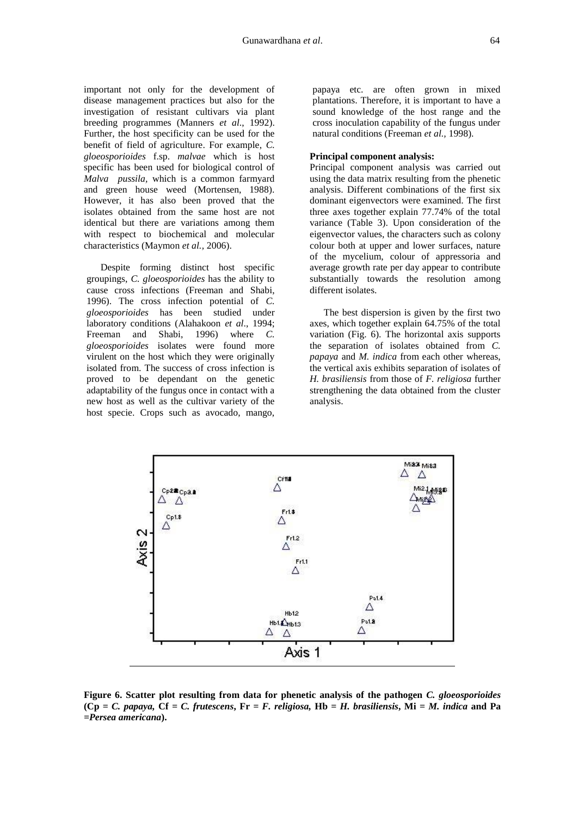important not only for the development of disease management practices but also for the investigation of resistant cultivars via plant breeding programmes (Manners *et al*., 1992). Further, the host specificity can be used for the benefit of field of agriculture. For example, *C. gloeosporioides* f.sp. *malvae* which is host specific has been used for biological control of *Malva pussila,* which is a common farmyard and green house weed (Mortensen, 1988). However, it has also been proved that the isolates obtained from the same host are not identical but there are variations among them with respect to biochemical and molecular characteristics (Maymon *et al.,* 2006).

Despite forming distinct host specific groupings, *C. gloeosporioides* has the ability to cause cross infections (Freeman and Shabi, 1996). The cross infection potential of *C. gloeosporioides* has been studied under laboratory conditions (Alahakoon *et al*., 1994; Freeman and Shabi, 1996) where *C. gloeosporioides* isolates were found more virulent on the host which they were originally isolated from. The success of cross infection is proved to be dependant on the genetic adaptability of the fungus once in contact with a new host as well as the cultivar variety of the host specie. Crops such as avocado, mango,

papaya etc. are often grown in mixed plantations. Therefore, it is important to have a sound knowledge of the host range and the cross inoculation capability of the fungus under natural conditions (Freeman *et al.,* 1998).

#### **Principal component analysis:**

Principal component analysis was carried out using the data matrix resulting from the phenetic analysis. Different combinations of the first six dominant eigenvectors were examined. The first three axes together explain 77.74% of the total variance (Table 3). Upon consideration of the eigenvector values, the characters such as colony colour both at upper and lower surfaces, nature of the mycelium, colour of appressoria and average growth rate per day appear to contribute substantially towards the resolution among different isolates.

The best dispersion is given by the first two axes, which together explain 64.75% of the total variation (Fig. 6). The horizontal axis supports the separation of isolates obtained from *C. papaya* and *M. indica* from each other whereas, the vertical axis exhibits separation of isolates of *H. brasiliensis* from those of *F. religiosa* further strengthening the data obtained from the cluster analysis.



**Figure 6. Scatter plot resulting from data for phenetic analysis of the pathogen** *C. gloeosporioides* **(Cp =** *C. papaya,* **Cf** *= C. frutescens***, Fr** *= F. religiosa,* **Hb =** *H. brasiliensis***, Mi =** *M. indica* **and Pa** *=Persea americana***).**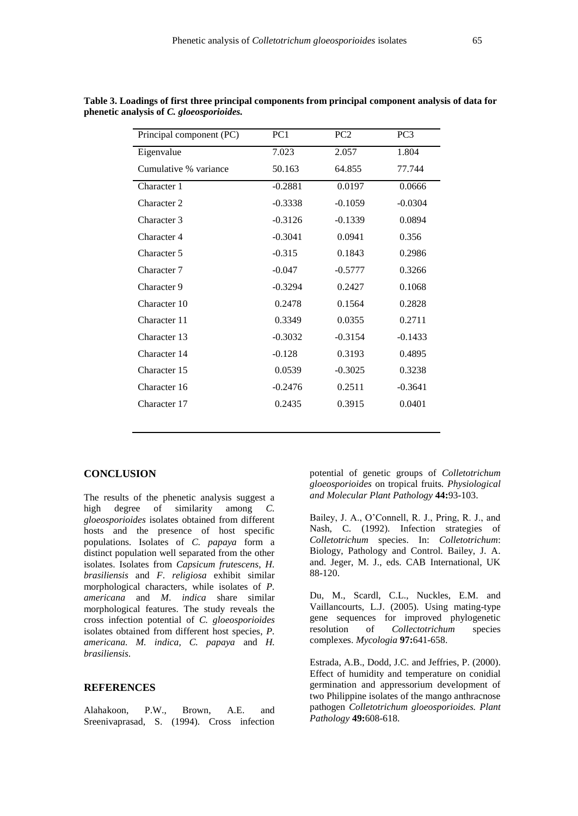| Principal component (PC) | PC1       | PC <sub>2</sub> | PC <sub>3</sub> |
|--------------------------|-----------|-----------------|-----------------|
| Eigenvalue               | 7.023     | 2.057           | 1.804           |
| Cumulative % variance    | 50.163    | 64.855          | 77.744          |
| Character 1              | $-0.2881$ | 0.0197          | 0.0666          |
| Character 2              | $-0.3338$ | $-0.1059$       | $-0.0304$       |
| Character 3              | $-0.3126$ | $-0.1339$       | 0.0894          |
| Character 4              | $-0.3041$ | 0.0941          | 0.356           |
| Character 5              | $-0.315$  | 0.1843          | 0.2986          |
| Character 7              | $-0.047$  | $-0.5777$       | 0.3266          |
| Character 9              | $-0.3294$ | 0.2427          | 0.1068          |
| Character 10             | 0.2478    | 0.1564          | 0.2828          |
| Character 11             | 0.3349    | 0.0355          | 0.2711          |
| Character 13             | $-0.3032$ | $-0.3154$       | $-0.1433$       |
| Character 14             | $-0.128$  | 0.3193          | 0.4895          |
| Character 15             | 0.0539    | $-0.3025$       | 0.3238          |
| Character 16             | $-0.2476$ | 0.2511          | $-0.3641$       |
| Character 17             | 0.2435    | 0.3915          | 0.0401          |
|                          |           |                 |                 |

**Table 3. Loadings of first three principal components from principal component analysis of data for phenetic analysis of** *C. gloeosporioides.*

## **CONCLUSION**

The results of the phenetic analysis suggest a high degree of similarity among *C. gloeosporioides* isolates obtained from different hosts and the presence of host specific populations. Isolates of *C. papaya* form a distinct population well separated from the other isolates. Isolates from *Capsicum frutescens*, *H. brasiliensis* and *F*. *religiosa* exhibit similar morphological characters, while isolates of *P. americana* and *M*. *indica* share similar morphological features. The study reveals the cross infection potential of *C. gloeosporioides* isolates obtained from different host species, *P. americana. M. indica, C. papaya* and *H. brasiliensis*.

#### **REFERENCES**

Alahakoon, P.W., Brown, A.E. and Sreenivaprasad, S. (1994). Cross infection potential of genetic groups of *Colletotrichum gloeosporioides* on tropical fruits*. Physiological and Molecular Plant Pathology* **44:**93-103.

Bailey, J. A., O'Connell, R. J., Pring, R. J., and Nash, C. (1992). Infection strategies of *Colletotrichum* species. In: *Colletotrichum*: Biology, Pathology and Control. Bailey, J. A. and. Jeger, M. J., eds. CAB International, UK 88-120.

Du, M., Scardl, C.L., Nuckles, E.M. and Vaillancourts, L.J. (2005). Using mating-type gene sequences for improved phylogenetic resolution of *Collectotrichum* species complexes. *Mycologia* **97:**641-658.

Estrada, A.B., Dodd, J.C. and Jeffries, P. (2000). Effect of humidity and temperature on conidial germination and appressorium development of two Philippine isolates of the mango anthracnose pathogen *Colletotrichum gloeosporioides. Plant Pathology* **49:**608-618.